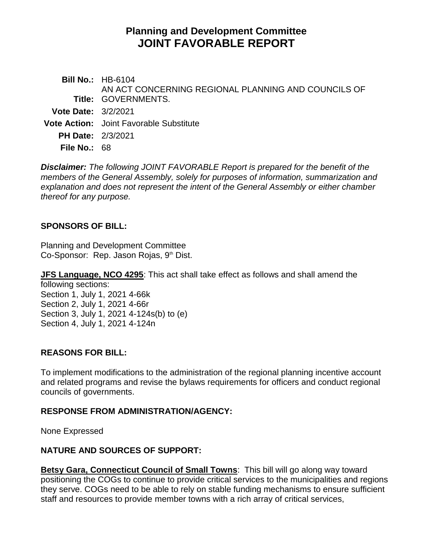# **Planning and Development Committee JOINT FAVORABLE REPORT**

**Bill No.:** HB-6104 **Title:** GOVERNMENTS. AN ACT CONCERNING REGIONAL PLANNING AND COUNCILS OF **Vote Date:** 3/2/2021 **Vote Action:** Joint Favorable Substitute **PH Date:** 2/3/2021 **File No.:** 68

*Disclaimer: The following JOINT FAVORABLE Report is prepared for the benefit of the members of the General Assembly, solely for purposes of information, summarization and explanation and does not represent the intent of the General Assembly or either chamber thereof for any purpose.*

#### **SPONSORS OF BILL:**

Planning and Development Committee Co-Sponsor: Rep. Jason Rojas, 9<sup>th</sup> Dist.

**JFS Language, NCO 4295**: This act shall take effect as follows and shall amend the following sections:

Section 1, July 1, 2021 4-66k Section 2, July 1, 2021 4-66r Section 3, July 1, 2021 4-124s(b) to (e) Section 4, July 1, 2021 4-124n

#### **REASONS FOR BILL:**

To implement modifications to the administration of the regional planning incentive account and related programs and revise the bylaws requirements for officers and conduct regional councils of governments.

#### **RESPONSE FROM ADMINISTRATION/AGENCY:**

None Expressed

## **NATURE AND SOURCES OF SUPPORT:**

**Betsy Gara, Connecticut Council of Small Towns**: This bill will go along way toward positioning the COGs to continue to provide critical services to the municipalities and regions they serve. COGs need to be able to rely on stable funding mechanisms to ensure sufficient staff and resources to provide member towns with a rich array of critical services,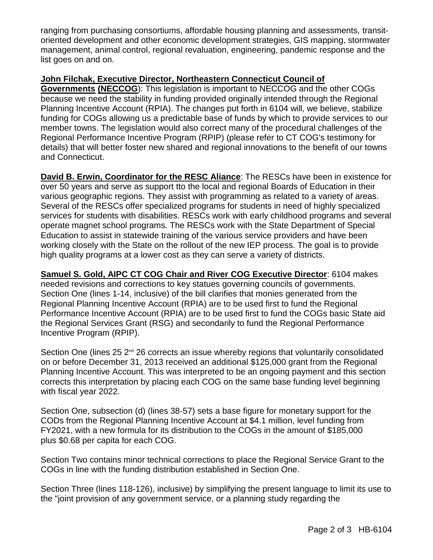ranging from purchasing consortiums, affordable housing planning and assessments, transitoriented development and other economic development strategies, GIS mapping, stormwater management, animal control, regional revaluation, engineering, pandemic response and the list goes on and on.

### **John Filchak, Executive Director, Northeastern Connecticut Council of**

**Governments (NECCOG**): This legislation is important to NECCOG and the other COGs because we need the stability in funding provided originally intended through the Regional Planning Incentive Account (RPIA). The changes put forth in 6104 will, we believe, stabilize funding for COGs allowing us a predictable base of funds by which to provide services to our member towns. The legislation would also correct many of the procedural challenges of the Regional Performance Incentive Program (RPIP) (please refer to CT COG's testimony for details) that will better foster new shared and regional innovations to the benefit of our towns and Connecticut.

**David B. Erwin, Coordinator for the RESC Aliance**: The RESCs have been in existence for over 50 years and serve as support tto the local and regional Boards of Education in their various geographic regions. They assist with programming as related to a variety of areas. Several of the RESCs offer specialized programs for students in need of highly specialized services for students with disabilities. RESCs work with early childhood programs and several operate magnet school programs. The RESCs work with the State Department of Special Education to assist in statewide training of the various service providers and have been working closely with the State on the rollout of the new IEP process. The goal is to provide high quality programs at a lower cost as they can serve a variety of districts.

**Samuel S. Gold, AIPC CT COG Chair and River COG Executive Director**: 6104 makes needed revisions and corrections to key statues governing councils of governments. Section One (lines 1-14, inclusive) of the bill clarifies that monies generated from the Regional Planning Incentive Account (RPIA) are to be used first to fund the Regional Performance Incentive Account (RPIA) are to be used first to fund the COGs basic State aid the Regional Services Grant (RSG) and secondarily to fund the Regional Performance Incentive Program (RPIP).

Section One (lines 25 2<sup>nd</sup> 26 corrects an issue whereby regions that voluntarily consolidated on or before December 31, 2013 received an additional \$125,000 grant from the Regional Planning Incentive Account. This was interpreted to be an ongoing payment and this section corrects this interpretation by placing each COG on the same base funding level beginning with fiscal year 2022.

Section One, subsection (d) (lines 38-57) sets a base figure for monetary support for the CODs from the Regional Planning Incentive Account at \$4.1 million, level funding from FY2021, with a new formula for its distribution to the COGs in the amount of \$185,000 plus \$0.68 per capita for each COG.

Section Two contains minor technical corrections to place the Regional Service Grant to the COGs in line with the funding distribution established in Section One.

Section Three (lines 118-126), inclusive) by simplifying the present language to limit its use to the "joint provision of any government service, or a planning study regarding the